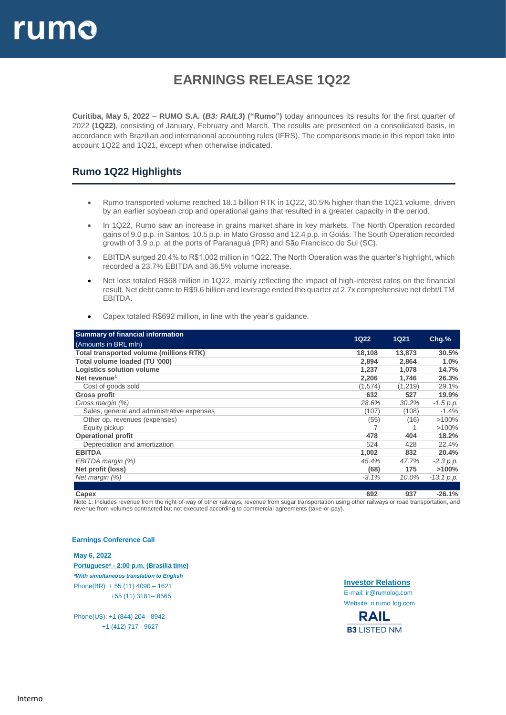

## **EARNINGS RELEASE 1Q22**

**Curitiba, May 5, 2022** – **RUMO S.A. (***B3: RAIL3***) ("Rumo")** today announces its results for the first quarter of 2022 **(1Q22)**, consisting of January, February and March. The results are presented on a consolidated basis, in accordance with Brazilian and international accounting rules (IFRS). The comparisons made in this report take into account 1Q22 and 1Q21, except when otherwise indicated.

#### **Rumo 1Q22 Highlights**

- Rumo transported volume reached 18.1 billion RTK in 1Q22, 30.5% higher than the 1Q21 volume, driven by an earlier soybean crop and operational gains that resulted in a greater capacity in the period.
- In 1Q22, Rumo saw an increase in grains market share in key markets. The North Operation recorded gains of 9.0 p.p. in Santos, 10.5 p.p. in Mato Grosso and 12.4 p.p. in Goiás. The South Operation recorded growth of 3.9 p.p. at the ports of Paranaguá (PR) and São Francisco do Sul (SC).
- EBITDA surged 20.4% to R\$1,002 million in 1Q22. The North Operation was the quarter's highlight, which recorded a 23.7% EBITDA and 36.5% volume increase.
- Net loss totaled R\$68 million in 1Q22, mainly reflecting the impact of high-interest rates on the financial result. Net debt came to R\$9.6 billion and leverage ended the quarter at 2.7x comprehensive net debt/LTM EBITDA.
- Capex totaled R\$692 million, in line with the year's guidance.

| <b>Summary of financial information</b>        |             |             |              |
|------------------------------------------------|-------------|-------------|--------------|
| (Amounts in BRL mln)                           | <b>1Q22</b> | <b>1Q21</b> | $Chg.$ %     |
| <b>Total transported volume (millions RTK)</b> | 18,108      | 13,873      | 30.5%        |
| Total volume loaded (TU '000)                  | 2,894       | 2,864       | 1.0%         |
| <b>Logistics solution volume</b>               | 1,237       | 1,078       | 14.7%        |
| Net revenue <sup>1</sup>                       | 2,206       | 1,746       | 26.3%        |
| Cost of goods sold                             | (1,574)     | (1,219)     | 29.1%        |
| <b>Gross profit</b>                            | 632         | 527         | 19.9%        |
| Gross margin (%)                               | 28.6%       | 30.2%       | $-1.5 p.p.$  |
| Sales, general and administrative expenses     | (107)       | (108)       | $-1.4%$      |
| Other op. revenues (expenses)                  | (55)        | (16)        | $>100\%$     |
| Equity pickup                                  |             |             | $>100\%$     |
| <b>Operational profit</b>                      | 478         | 404         | 18.2%        |
| Depreciation and amortization                  | 524         | 428         | 22.4%        |
| <b>EBITDA</b>                                  | 1,002       | 832         | 20.4%        |
| EBITDA margin (%)                              | 45.4%       | 47.7%       | $-2.3 p.p.$  |
| Net profit (loss)                              | (68)        | 175         | >100%        |
| Net margin (%)                                 | $-3.1\%$    | 10.0%       | $-13.1 p.p.$ |
|                                                |             |             |              |
| Capex                                          | 692         | 937         | $-26.1%$     |

Note 1: Includes revenue from the right-of-way of other railways, revenue from sugar transportation using other railways or road transportation, and revenue from volumes contracted but not executed according to commercial agreements (take-or-pay).

#### **Earnings Conference Call**

#### **May 6, 2022**

**Portuguese\* - 2:00 p.m. (Brasília time)** *\*With simultaneous translation to English* Phone(BR): + 55 (11) 4090 – 1621 +55 (11) 3181-- 8565

Phone(US): +1 (844) 204 - 8942 +1 (412) 717 - 9627

**Investor Relations** E-mail: ir@rumolog.com Website: ri.rumo log.com

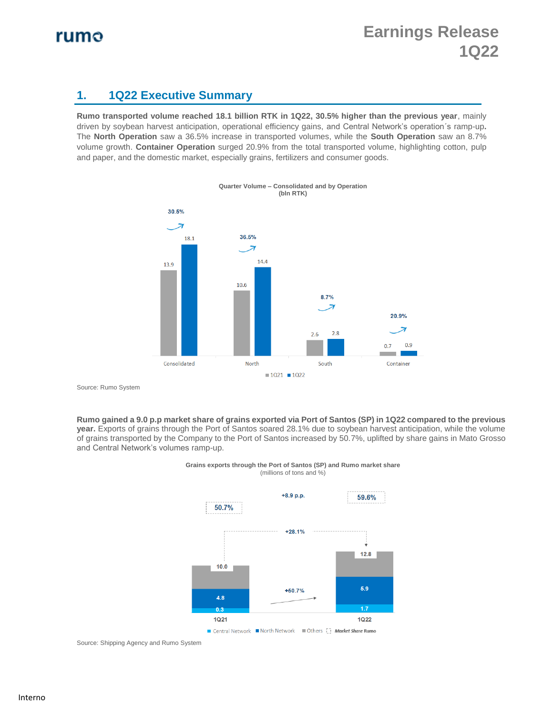#### **1. 1Q22 Executive Summary**

**Rumo transported volume reached 18.1 billion RTK in 1Q22, 30.5% higher than the previous year**, mainly driven by soybean harvest anticipation, operational efficiency gains, and Central Network's operation´s ramp-up**.**  The **North Operation** saw a 36.5% increase in transported volumes, while the **South Operation** saw an 8.7% volume growth. **Container Operation** surged 20.9% from the total transported volume, highlighting cotton, pulp and paper, and the domestic market, especially grains, fertilizers and consumer goods.





Source: Rumo System

**Rumo gained a 9.0 p.p market share of grains exported via Port of Santos (SP) in 1Q22 compared to the previous year.** Exports of grains through the Port of Santos soared 28.1% due to soybean harvest anticipation, while the volume of grains transported by the Company to the Port of Santos increased by 50.7%, uplifted by share gains in Mato Grosso and Central Network's volumes ramp-up.





Source: Shipping Agency and Rumo System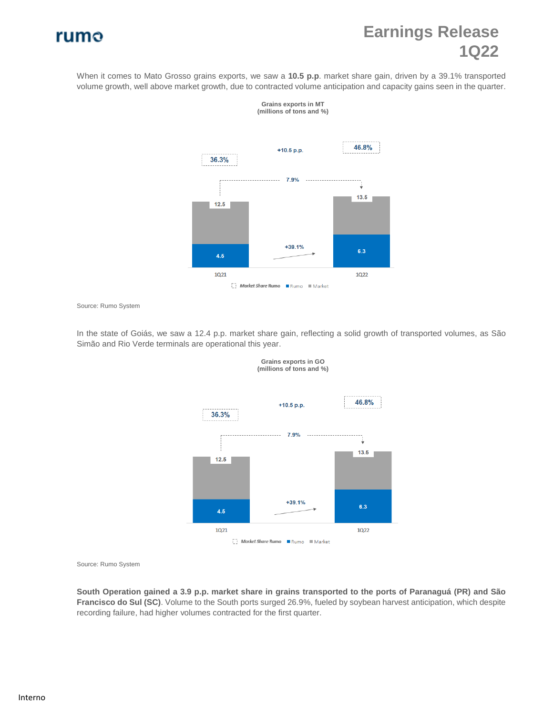# **Earnings Release 1Q22**



When it comes to Mato Grosso grains exports, we saw a **10.5 p.p**. market share gain, driven by a 39.1% transported volume growth, well above market growth, due to contracted volume anticipation and capacity gains seen in the quarter.

> **Grains exports in MT (millions of tons and %)**



Source: Rumo System

In the state of Goiás, we saw a 12.4 p.p. market share gain, reflecting a solid growth of transported volumes, as São Simão and Rio Verde terminals are operational this year.





Source: Rumo System

**South Operation gained a 3.9 p.p. market share in grains transported to the ports of Paranaguá (PR) and São Francisco do Sul (SC)**. Volume to the South ports surged 26.9%, fueled by soybean harvest anticipation, which despite recording failure, had higher volumes contracted for the first quarter.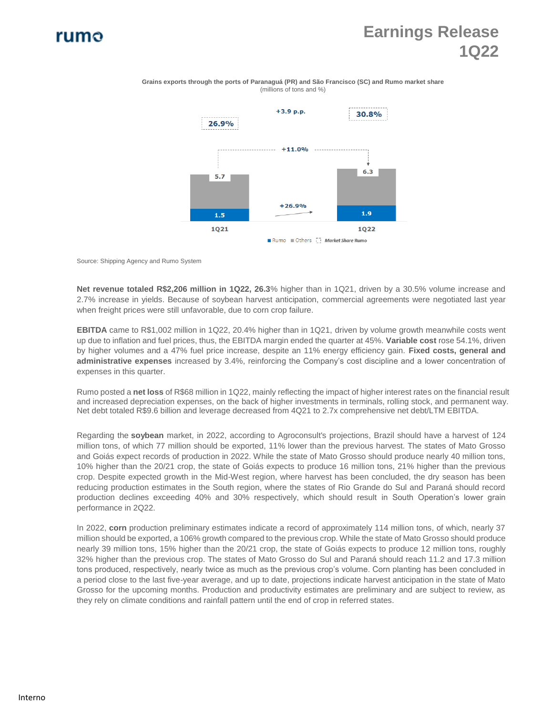# **Earnings Release 1Q22**

**Grains exports through the ports of Paranaguá (PR) and São Francisco (SC) and Rumo market share** (millions of tons and %)



Source: Shipping Agency and Rumo System

**Net revenue totaled R\$2,206 million in 1Q22, 26.3**% higher than in 1Q21, driven by a 30.5% volume increase and 2.7% increase in yields. Because of soybean harvest anticipation, commercial agreements were negotiated last year when freight prices were still unfavorable, due to corn crop failure.

**EBITDA** came to R\$1,002 million in 1Q22, 20.4% higher than in 1Q21, driven by volume growth meanwhile costs went up due to inflation and fuel prices, thus, the EBITDA margin ended the quarter at 45%. **Variable cost** rose 54.1%, driven by higher volumes and a 47% fuel price increase, despite an 11% energy efficiency gain. **Fixed costs, general and administrative expenses** increased by 3.4%, reinforcing the Company's cost discipline and a lower concentration of expenses in this quarter.

Rumo posted a **net loss** of R\$68 million in 1Q22, mainly reflecting the impact of higher interest rates on the financial result and increased depreciation expenses, on the back of higher investments in terminals, rolling stock, and permanent way. Net debt totaled R\$9.6 billion and leverage decreased from 4Q21 to 2.7x comprehensive net debt/LTM EBITDA.

Regarding the **soybean** market, in 2022, according to Agroconsult's projections, Brazil should have a harvest of 124 million tons, of which 77 million should be exported, 11% lower than the previous harvest. The states of Mato Grosso and Goiás expect records of production in 2022. While the state of Mato Grosso should produce nearly 40 million tons, 10% higher than the 20/21 crop, the state of Goiás expects to produce 16 million tons, 21% higher than the previous crop. Despite expected growth in the Mid-West region, where harvest has been concluded, the dry season has been reducing production estimates in the South region, where the states of Rio Grande do Sul and Paraná should record production declines exceeding 40% and 30% respectively, which should result in South Operation's lower grain performance in 2Q22.

In 2022, **corn** production preliminary estimates indicate a record of approximately 114 million tons, of which, nearly 37 million should be exported, a 106% growth compared to the previous crop. While the state of Mato Grosso should produce nearly 39 million tons, 15% higher than the 20/21 crop, the state of Goiás expects to produce 12 million tons, roughly 32% higher than the previous crop. The states of Mato Grosso do Sul and Paraná should reach 11.2 and 17.3 million tons produced, respectively, nearly twice as much as the previous crop's volume. Corn planting has been concluded in a period close to the last five-year average, and up to date, projections indicate harvest anticipation in the state of Mato Grosso for the upcoming months. Production and productivity estimates are preliminary and are subject to review, as they rely on climate conditions and rainfall pattern until the end of crop in referred states.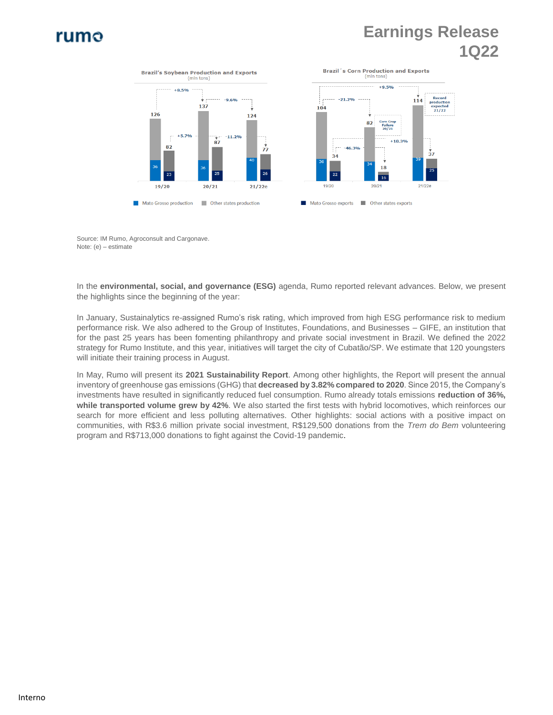# **Earnings Release 1Q22**



Source: IM Rumo, Agroconsult and Cargonave. Note: (e) – estimate

In the **environmental, social, and governance (ESG)** agenda, Rumo reported relevant advances. Below, we present the highlights since the beginning of the year:

In January, Sustainalytics re-assigned Rumo's risk rating, which improved from high ESG performance risk to medium performance risk. We also adhered to the Group of Institutes, Foundations, and Businesses – GIFE, an institution that for the past 25 years has been fomenting philanthropy and private social investment in Brazil. We defined the 2022 strategy for Rumo Institute, and this year, initiatives will target the city of Cubatão/SP. We estimate that 120 youngsters will initiate their training process in August.

In May, Rumo will present its **2021 Sustainability Report**. Among other highlights, the Report will present the annual inventory of greenhouse gas emissions (GHG) that **decreased by 3.82% compared to 2020**. Since 2015, the Company's investments have resulted in significantly reduced fuel consumption. Rumo already totals emissions **reduction of 36%, while transported volume grew by 42%**. We also started the first tests with hybrid locomotives, which reinforces our search for more efficient and less polluting alternatives. Other highlights: social actions with a positive impact on communities, with R\$3.6 million private social investment, R\$129,500 donations from the *Trem do Bem* volunteering program and R\$713,000 donations to fight against the Covid-19 pandemic.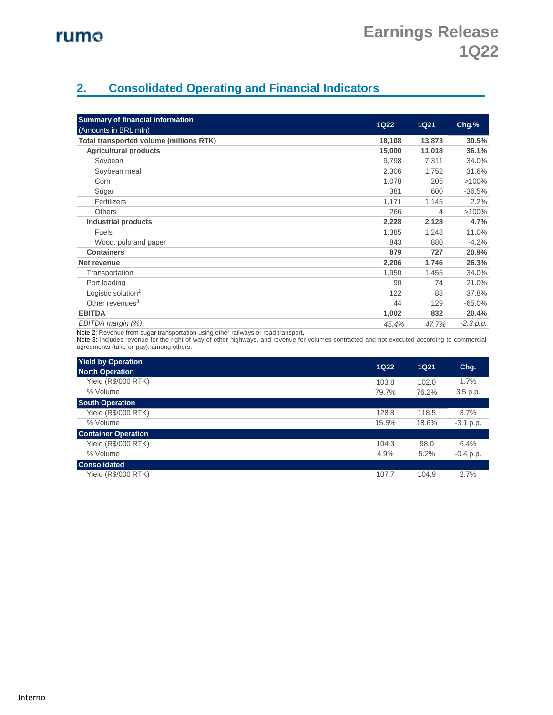### **2. Consolidated Operating and Financial Indicators**

| <b>Summary of financial information</b> | <b>1Q22</b> | <b>1Q21</b> | $Chg.$ %    |
|-----------------------------------------|-------------|-------------|-------------|
| (Amounts in BRL mln)                    |             |             |             |
| Total transported volume (millions RTK) | 18,108      | 13,873      | 30.5%       |
| <b>Agricultural products</b>            | 15,000      | 11,018      | 36.1%       |
| Soybean                                 | 9,798       | 7,311       | 34.0%       |
| Soybean meal                            | 2,306       | 1,752       | 31.6%       |
| Corn                                    | 1,078       | 205         | >100%       |
| Sugar                                   | 381         | 600         | $-36.5%$    |
| Fertilizers                             | 1,171       | 1,145       | 2.2%        |
| <b>Others</b>                           | 266         | 4           | $>100\%$    |
| <b>Industrial products</b>              | 2,228       | 2,128       | 4.7%        |
| Fuels                                   | 1,385       | 1,248       | 11.0%       |
| Wood, pulp and paper                    | 843         | 880         | $-4.2%$     |
| <b>Containers</b>                       | 879         | 727         | 20.9%       |
| Net revenue                             | 2,206       | 1,746       | 26.3%       |
| Transportation                          | 1,950       | 1,455       | 34.0%       |
| Port loading                            | 90          | 74          | 21.0%       |
| Logistic solution <sup>2</sup>          | 122         | 88          | 37.8%       |
| Other revenues $3$                      | 44          | 129         | $-65.0%$    |
| <b>EBITDA</b>                           | 1,002       | 832         | 20.4%       |
| EBITDA margin (%)                       | 45.4%       | 47.7%       | $-2.3 p.p.$ |

Note 2: Revenue from sugar transportation using other railways or road transport.

Note 3: Includes revenue for the right-of-way of other highways, and revenue for volumes contracted and not executed according to commercial agreements (take-or-pay), among others.

| <b>Yield by Operation</b><br><b>North Operation</b> | <b>1Q22</b> | <b>1Q21</b> | Chg.        |
|-----------------------------------------------------|-------------|-------------|-------------|
| <b>Yield (R\$/000 RTK)</b>                          | 103.8       | 102.0       | 1.7%        |
| % Volume                                            | 79.7%       | 76.2%       | 3.5 p.p.    |
| <b>South Operation</b>                              |             |             |             |
| <b>Yield (R\$/000 RTK)</b>                          | 128.8       | 118.5       | 8.7%        |
| % Volume                                            | 15.5%       | 18.6%       | $-3.1$ p.p. |
| <b>Container Operation</b>                          |             |             |             |
| <b>Yield (R\$/000 RTK)</b>                          | 104.3       | 98.0        | 6.4%        |
| % Volume                                            | 4.9%        | 5.2%        | $-0.4$ p.p. |
| <b>Consolidated</b>                                 |             |             |             |
| <b>Yield (R\$/000 RTK)</b>                          | 107.7       | 104.9       | 2.7%        |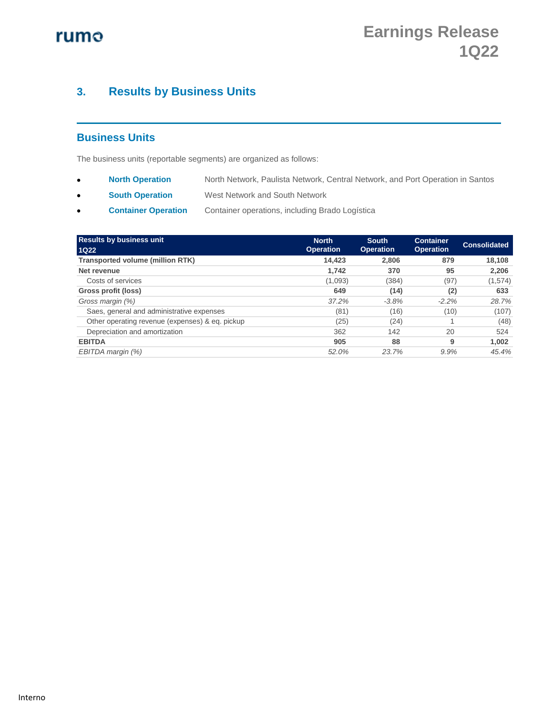### **3. Results by Business Units**

#### **Business Units**

The business units (reportable segments) are organized as follows:

- **North Operation** North Network, Paulista Network, Central Network, and Port Operation in Santos
- **South Operation** West Network and South Network
- **Container Operation** Container operations, including Brado Logística

| <b>Results by business unit</b><br><b>1Q22</b>  | <b>North</b><br><b>Operation</b> | <b>South</b><br><b>Operation</b> | <b>Container</b><br><b>Operation</b> | <b>Consolidated</b> |
|-------------------------------------------------|----------------------------------|----------------------------------|--------------------------------------|---------------------|
| Transported volume (million RTK)                | 14.423                           | 2,806                            | 879                                  | 18,108              |
| Net revenue                                     | 1.742                            | 370                              | 95                                   | 2.206               |
| Costs of services                               | (1,093)                          | (384)                            | (97)                                 | (1,574)             |
| Gross profit (loss)                             | 649                              | (14)                             | (2)                                  | 633                 |
| Gross margin (%)                                | 37.2%                            | $-3.8%$                          | $-2.2%$                              | 28.7%               |
| Saes, general and administrative expenses       | (81)                             | (16)                             | (10)                                 | (107)               |
| Other operating revenue (expenses) & eq. pickup | (25)                             | (24)                             |                                      | (48)                |
| Depreciation and amortization                   | 362                              | 142                              | 20                                   | 524                 |
| <b>EBITDA</b>                                   | 905                              | 88                               | 9                                    | 1,002               |
| EBITDA margin (%)                               | 52.0%                            | 23.7%                            | 9.9%                                 | 45.4%               |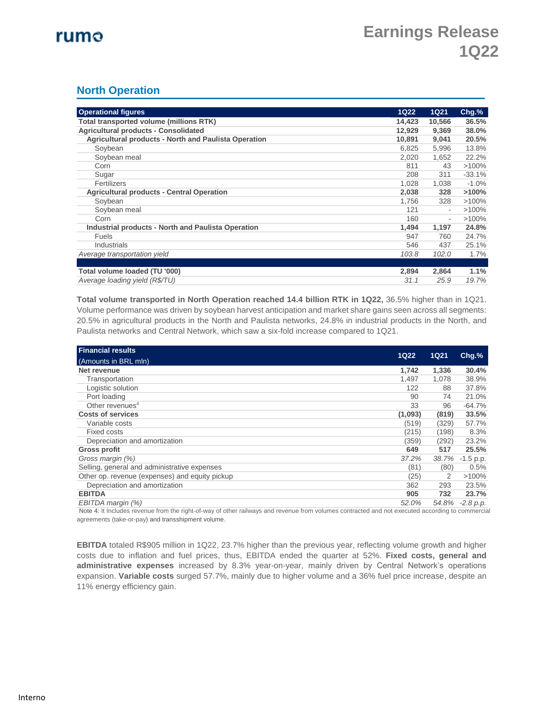#### **North Operation**

| <b>Operational figures</b>                                  | <b>1Q22</b> | <b>1Q21</b>              | $Chg.$ % |
|-------------------------------------------------------------|-------------|--------------------------|----------|
| Total transported volume (millions RTK)                     | 14,423      | 10,566                   | 36.5%    |
| <b>Agricultural products - Consolidated</b>                 | 12,929      | 9,369                    | 38.0%    |
| <b>Agricultural products - North and Paulista Operation</b> | 10,891      | 9,041                    | 20.5%    |
| Soybean                                                     | 6,825       | 5,996                    | 13.8%    |
| Soybean meal                                                | 2.020       | 1.652                    | 22.2%    |
| Corn                                                        | 811         | 43                       | >100%    |
| Sugar                                                       | 208         | 311                      | $-33.1%$ |
| Fertilizers                                                 | 1.028       | 1,038                    | $-1.0%$  |
| <b>Agricultural products - Central Operation</b>            | 2,038       | 328                      | >100%    |
| Soybean                                                     | 1.756       | 328                      | >100%    |
| Soybean meal                                                | 121         | $\overline{\phantom{a}}$ | >100%    |
| Corn                                                        | 160         | $\overline{\phantom{0}}$ | >100%    |
| <b>Industrial products - North and Paulista Operation</b>   | 1.494       | 1,197                    | 24.8%    |
| <b>Fuels</b>                                                | 947         | 760                      | 24.7%    |
| Industrials                                                 | 546         | 437                      | 25.1%    |
| Average transportation yield                                | 103.8       | 102.0                    | 1.7%     |
|                                                             |             |                          |          |
| Total volume loaded (TU '000)                               | 2,894       | 2,864                    | 1.1%     |
| Average loading yield (R\$/TU)                              | 31.1        | 25.9                     | 19.7%    |

**Total volume transported in North Operation reached 14.4 billion RTK in 1Q22,** 36.5% higher than in 1Q21. Volume performance was driven by soybean harvest anticipation and market share gains seen across all segments: 20.5% in agricultural products in the North and Paulista networks, 24.8% in industrial products in the North, and Paulista networks and Central Network, which saw a six-fold increase compared to 1Q21.

| <b>Financial results</b>                       |             |             |             |
|------------------------------------------------|-------------|-------------|-------------|
| (Amounts in BRL mln)                           | <b>1Q22</b> | <b>1Q21</b> | $Chg.$ %    |
| Net revenue                                    | 1,742       | 1,336       | 30.4%       |
| Transportation                                 | 1,497       | 1,078       | 38.9%       |
| Logistic solution                              | 122         | 88          | 37.8%       |
| Port loading                                   | 90          | 74          | 21.0%       |
| Other revenues <sup>4</sup>                    | 33          | 96          | $-64.7%$    |
| <b>Costs of services</b>                       | (1,093)     | (819)       | 33.5%       |
| Variable costs                                 | (519)       | (329)       | 57.7%       |
| Fixed costs                                    | (215)       | (198)       | 8.3%        |
| Depreciation and amortization                  | (359)       | (292)       | 23.2%       |
| <b>Gross profit</b>                            | 649         | 517         | 25.5%       |
| Gross margin (%)                               | 37.2%       | 38.7%       | $-1.5$ p.p. |
| Selling, general and administrative expenses   | (81)        | (80)        | 0.5%        |
| Other op. revenue (expenses) and equity pickup | (25)        | 2           | $>100\%$    |
| Depreciation and amortization                  | 362         | 293         | 23.5%       |
| <b>EBITDA</b>                                  | 905         | 732         | 23.7%       |
| EBITDA margin (%)                              | 52.0%       | 54.8%       | $-2.8 p.p.$ |

Note 4: It Includes revenue from the right-of-way of other railways and revenue from volumes contracted and not executed according to commercial agreements (take-or-pay) and transshipment volume.

**EBITDA** totaled R\$905 million in 1Q22, 23.7% higher than the previous year, reflecting volume growth and higher costs due to inflation and fuel prices, thus, EBITDA ended the quarter at 52%. **Fixed costs, general and administrative expenses** increased by 8.3% year-on-year, mainly driven by Central Network's operations expansion. **Variable costs** surged 57.7%, mainly due to higher volume and a 36% fuel price increase, despite an 11% energy efficiency gain.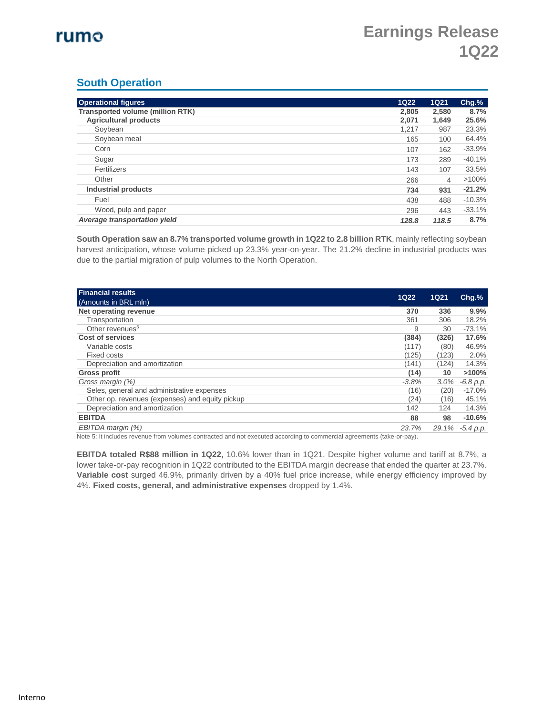#### **South Operation**

| <b>Operational figures</b>              | <b>1Q22</b> | <b>1Q21</b> | $Chg.$ % |
|-----------------------------------------|-------------|-------------|----------|
| <b>Transported volume (million RTK)</b> | 2.805       | 2.580       | 8.7%     |
| <b>Agricultural products</b>            | 2.071       | 1.649       | 25.6%    |
| Soybean                                 | 1.217       | 987         | 23.3%    |
| Soybean meal                            | 165         | 100         | 64.4%    |
| Corn                                    | 107         | 162         | $-33.9%$ |
| Sugar                                   | 173         | 289         | $-40.1%$ |
| Fertilizers                             | 143         | 107         | 33.5%    |
| Other                                   | 266         | 4           | $>100\%$ |
| <b>Industrial products</b>              | 734         | 931         | $-21.2%$ |
| Fuel                                    | 438         | 488         | $-10.3%$ |
| Wood, pulp and paper                    | 296         | 443         | $-33.1%$ |
| Average transportation yield            | 128.8       | 118.5       | 8.7%     |

**South Operation saw an 8.7% transported volume growth in 1Q22 to 2.8 billion RTK**, mainly reflecting soybean harvest anticipation, whose volume picked up 23.3% year-on-year. The 21.2% decline in industrial products was due to the partial migration of pulp volumes to the North Operation.

| <b>Financial results</b><br>(Amounts in BRL mln) | <b>1Q22</b> | <b>1Q21</b> | $Chg.$ %    |
|--------------------------------------------------|-------------|-------------|-------------|
| Net operating revenue                            | 370         | 336         | 9.9%        |
| Transportation                                   | 361         | 306         | 18.2%       |
| Other revenues <sup>5</sup>                      | 9           | 30          | $-73.1%$    |
| Cost of services                                 | (384)       | (326)       | 17.6%       |
| Variable costs                                   | (117)       | (80)        | 46.9%       |
| Fixed costs                                      | (125)       | (123)       | 2.0%        |
| Depreciation and amortization                    | (141)       | (124)       | 14.3%       |
| <b>Gross profit</b>                              | (14)        | 10          | >100%       |
| Gross margin (%)                                 | $-3.8%$     | 3.0%        | $-6.8 p.p.$ |
| Seles, general and administrative expenses       | (16)        | (20)        | $-17.0%$    |
| Other op. revenues (expenses) and equity pickup  | (24)        | (16)        | 45.1%       |
| Depreciation and amortization                    | 142         | 124         | 14.3%       |
| <b>EBITDA</b>                                    | 88          | 98          | $-10.6%$    |
| EBITDA margin (%)                                | 23.7%       | 29.1%       | $-5.4 p.p.$ |

Note 5: It includes revenue from volumes contracted and not executed according to commercial agreements (take-or-pay).

**EBITDA totaled R\$88 million in 1Q22,** 10.6% lower than in 1Q21. Despite higher volume and tariff at 8.7%, a lower take-or-pay recognition in 1Q22 contributed to the EBITDA margin decrease that ended the quarter at 23.7%. **Variable cost** surged 46.9%, primarily driven by a 40% fuel price increase, while energy efficiency improved by 4%. **Fixed costs, general, and administrative expenses** dropped by 1.4%.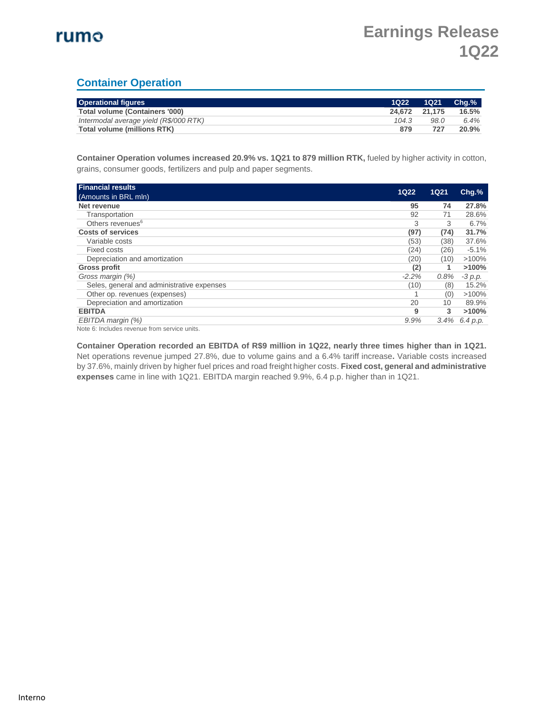

#### **Container Operation**

| <b>Operational figures</b>             | 1022          | 1021 | $Cha.$ % |
|----------------------------------------|---------------|------|----------|
|                                        |               |      |          |
| Total volume (Containers '000)         | 24.672 21.175 |      | 16.5%    |
| Intermodal average yield (R\$/000 RTK) | 104.3         | 98.0 | 6.4%     |
| Total volume (millions RTK)            | 879           | 727  | $20.9\%$ |

**Container Operation volumes increased 20.9% vs. 1Q21 to 879 million RTK,** fueled by higher activity in cotton, grains, consumer goods, fertilizers and pulp and paper segments.

| <b>Financial results</b>                   | <b>1Q22</b> | <b>1Q21</b> | $Chg.$ %  |
|--------------------------------------------|-------------|-------------|-----------|
| (Amounts in BRL mln)                       |             |             |           |
| Net revenue                                | 95          | 74          | 27.8%     |
| Transportation                             | 92          | 71          | 28.6%     |
| Others revenues <sup>6</sup>               | 3           | 3           | 6.7%      |
| <b>Costs of services</b>                   | (97)        | (74)        | 31.7%     |
| Variable costs                             | (53)        | (38)        | 37.6%     |
| Fixed costs                                | (24)        | (26)        | $-5.1%$   |
| Depreciation and amortization              | (20)        | (10)        | >100%     |
| <b>Gross profit</b>                        | (2)         |             | >100%     |
| Gross margin (%)                           | $-2.2%$     | 0.8%        | $-3 p.p.$ |
| Seles, general and administrative expenses | (10)        | (8)         | 15.2%     |
| Other op. revenues (expenses)              |             | (0)         | >100%     |
| Depreciation and amortization              | 20          | 10          | 89.9%     |
| <b>EBITDA</b>                              | 9           | 3           | >100%     |
| EBITDA margin (%)                          | 9.9%        | 3.4%        | 6.4 p.p.  |

Note 6: Includes revenue from service units.

**Container Operation recorded an EBITDA of R\$9 million in 1Q22, nearly three times higher than in 1Q21.** Net operations revenue jumped 27.8%, due to volume gains and a 6.4% tariff increase**.** Variable costs increased by 37.6%, mainly driven by higher fuel prices and road freight higher costs. **Fixed cost, general and administrative expenses** came in line with 1Q21. EBITDA margin reached 9.9%, 6.4 p.p. higher than in 1Q21.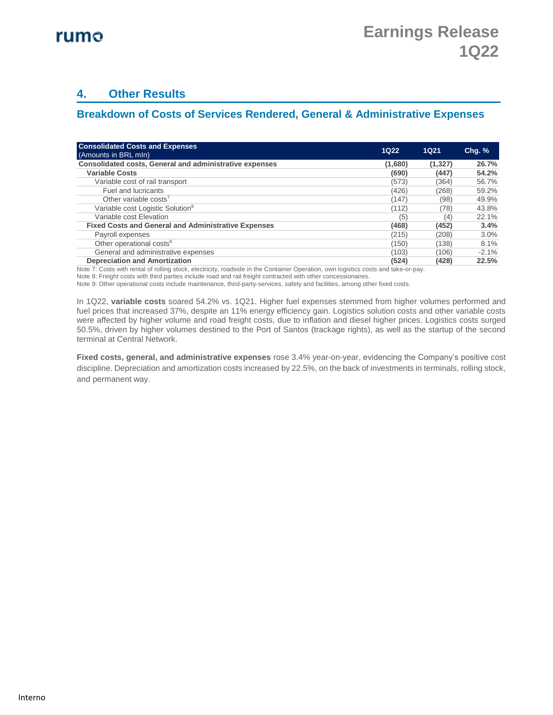#### **4. Other Results**

#### **Breakdown of Costs of Services Rendered, General & Administrative Expenses**

| <b>Consolidated Costs and Expenses</b>                     |             |             |         |
|------------------------------------------------------------|-------------|-------------|---------|
| (Amounts in BRL mln)                                       | <b>1Q22</b> | <b>1Q21</b> | Chq. %  |
| Consolidated costs, General and administrative expenses    | (1,680)     | (1, 327)    | 26.7%   |
| <b>Variable Costs</b>                                      | (690)       | (447)       | 54.2%   |
| Variable cost of rail transport                            | (573)       | (364)       | 56.7%   |
| Fuel and lucricants                                        | (426)       | (268)       | 59.2%   |
| Other variable costs <sup>7</sup>                          | (147)       | (98)        | 49.9%   |
| Variable cost Logistic Solution <sup>8</sup>               | (112)       | (78)        | 43.8%   |
| Variable cost Elevation                                    | (5          | (4)         | 22.1%   |
| <b>Fixed Costs and General and Administrative Expenses</b> | (468)       | (452)       | 3.4%    |
| Payroll expenses                                           | (215)       | (208)       | 3.0%    |
| Other operational costs <sup>9</sup>                       | (150)       | (138)       | 8.1%    |
| General and administrative expenses                        | (103)       | (106)       | $-2.1%$ |
| <b>Depreciation and Amortization</b>                       | (524)       | (428)       | 22.5%   |

Note 7: Costs with rental of rolling stock, electricity, roadside in the Container Operation, own logistics costs and take-or-pay. Note 8: Freight costs with third parties include road and rail freight contracted with other concessionaires.

Note 9: Other operational costs include maintenance, third-party-services, safety and facilities, among other fixed costs.

In 1Q22, **variable costs** soared 54.2% vs. 1Q21. Higher fuel expenses stemmed from higher volumes performed and fuel prices that increased 37%, despite an 11% energy efficiency gain. Logistics solution costs and other variable costs were affected by higher volume and road freight costs, due to inflation and diesel higher prices. Logistics costs surged 50.5%, driven by higher volumes destined to the Port of Santos (trackage rights), as well as the startup of the second terminal at Central Network.

**Fixed costs, general, and administrative expenses** rose 3.4% year-on-year, evidencing the Company's positive cost discipline. Depreciation and amortization costs increased by 22.5%, on the back of investments in terminals, rolling stock, and permanent way.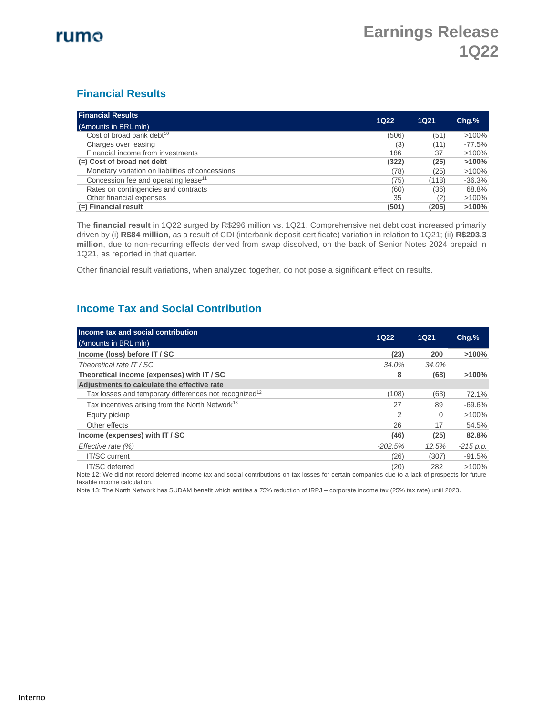

#### **Financial Results**

| <b>Financial Results</b>                         | <b>1Q22</b> | <b>1Q21</b> | $Chg.$ % |
|--------------------------------------------------|-------------|-------------|----------|
| (Amounts in BRL mln)                             |             |             |          |
| Cost of broad bank debt <sup>10</sup>            | (506)       | (51)        | $>100\%$ |
| Charges over leasing                             | (3)         | (11)        | $-77.5%$ |
| Financial income from investments                | 186         | 37          | $>100\%$ |
| (=) Cost of broad net debt                       | (322)       | (25)        | >100%    |
| Monetary variation on liabilities of concessions | (78)        | (25)        | $>100\%$ |
| Concession fee and operating lease <sup>11</sup> | (75)        | (118)       | $-36.3%$ |
| Rates on contingencies and contracts             | (60)        | (36)        | 68.8%    |
| Other financial expenses                         | 35          | (2)         | $>100\%$ |
| (=) Financial result                             | (501)       | (205)       | $>100\%$ |

The **financial result** in 1Q22 surged by R\$296 million vs. 1Q21. Comprehensive net debt cost increased primarily driven by (i) **R\$84 million**, as a result of CDI (interbank deposit certificate) variation in relation to 1Q21; (ii) **R\$203.3 million**, due to non-recurring effects derived from swap dissolved, on the back of Senior Notes 2024 prepaid in 1Q21, as reported in that quarter.

Other financial result variations, when analyzed together, do not pose a significant effect on results.

#### **Income Tax and Social Contribution**

| Income tax and social contribution                                                                                                                | $1Q22$         | <b>1Q21</b> |             |
|---------------------------------------------------------------------------------------------------------------------------------------------------|----------------|-------------|-------------|
| (Amounts in BRL mln)                                                                                                                              |                |             | $Chq.$ %    |
| Income (loss) before IT / SC                                                                                                                      | (23)           | 200         | $>100\%$    |
| Theoretical rate IT / SC                                                                                                                          | 34.0%          | 34.0%       |             |
| Theoretical income (expenses) with IT / SC                                                                                                        | 8              | (68)        | $>100\%$    |
| Adjustments to calculate the effective rate                                                                                                       |                |             |             |
| Tax losses and temporary differences not recognized <sup>12</sup>                                                                                 | (108)          | (63)        | 72.1%       |
| Tax incentives arising from the North Network <sup>13</sup>                                                                                       | 27             | 89          | $-69.6%$    |
| Equity pickup                                                                                                                                     | $\overline{2}$ | $\Omega$    | $>100\%$    |
| Other effects                                                                                                                                     | 26             | 17          | 54.5%       |
| Income (expenses) with IT / SC                                                                                                                    | (46)           | (25)        | 82.8%       |
| Effective rate (%)                                                                                                                                | $-202.5%$      | 12.5%       | $-215$ p.p. |
| <b>IT/SC</b> current                                                                                                                              | (26)           | (307)       | $-91.5%$    |
| <b>IT/SC</b> deferred                                                                                                                             | (20)           | 282         | $>100\%$    |
| Note 12: We did not record deferred income tax and social contributions on tax losses for certain companies due to a lack of prospects for future |                |             |             |

ons on tax losses for certain companies due to a lack of prospects for future taxable income calculation.

Note 13: The North Network has SUDAM benefit which entitles a 75% reduction of IRPJ – corporate income tax (25% tax rate) until 2023.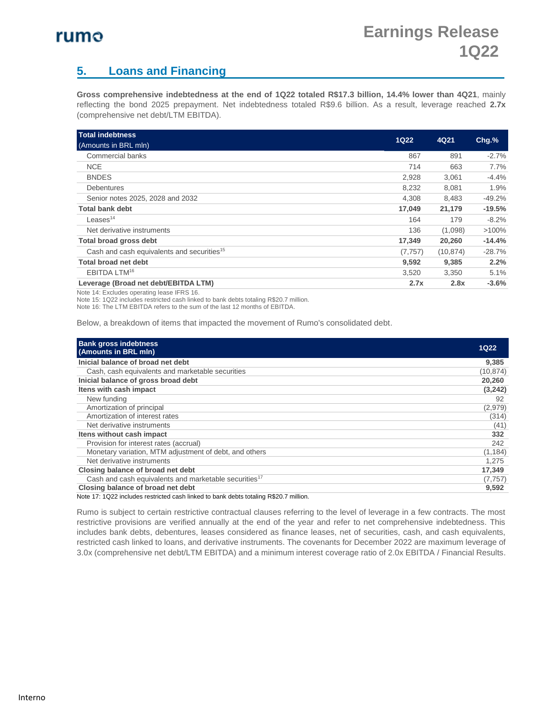#### **5. Loans and Financing**

**Gross comprehensive indebtedness at the end of 1Q22 totaled R\$17.3 billion, 14.4% lower than 4Q21**, mainly reflecting the bond 2025 prepayment. Net indebtedness totaled R\$9.6 billion. As a result, leverage reached **2.7x** (comprehensive net debt/LTM EBITDA).

| <b>Total indebtness</b>                                |             |           |          |
|--------------------------------------------------------|-------------|-----------|----------|
| (Amounts in BRL mln)                                   | <b>1Q22</b> | 4Q21      | $Chg.$ % |
| Commercial banks                                       | 867         | 891       | $-2.7\%$ |
| <b>NCE</b>                                             | 714         | 663       | 7.7%     |
| <b>BNDES</b>                                           | 2,928       | 3,061     | $-4.4\%$ |
| <b>Debentures</b>                                      | 8,232       | 8,081     | 1.9%     |
| Senior notes 2025, 2028 and 2032                       | 4.308       | 8.483     | $-49.2%$ |
| <b>Total bank debt</b>                                 | 17,049      | 21,179    | $-19.5%$ |
| Leases <sup>14</sup>                                   | 164         | 179       | $-8.2\%$ |
| Net derivative instruments                             | 136         | (1,098)   | $>100\%$ |
| Total broad gross debt                                 | 17,349      | 20,260    | $-14.4%$ |
| Cash and cash equivalents and securities <sup>15</sup> | (7, 757)    | (10, 874) | $-28.7%$ |
| <b>Total broad net debt</b>                            | 9,592       | 9,385     | 2.2%     |
| EBITDA LTM <sup>16</sup>                               | 3,520       | 3.350     | 5.1%     |
| Leverage (Broad net debt/EBITDA LTM)                   | 2.7x        | 2.8x      | $-3.6%$  |
| Note 44: Evaludes specialize lesse IEDO 40             |             |           |          |

operating lease IFRS 16

Note 15: 1Q22 includes restricted cash linked to bank debts totaling R\$20.7 million. Note 16: The LTM EBITDA refers to the sum of the last 12 months of EBITDA.

Below, a breakdown of items that impacted the movement of Rumo's consolidated debt.

| <b>Bank gross indebtness</b><br>(Amounts in BRL mln)              | <b>1Q22</b> |
|-------------------------------------------------------------------|-------------|
| Inicial balance of broad net debt                                 | 9,385       |
| Cash, cash equivalents and marketable securities                  | (10, 874)   |
| Inicial balance of gross broad debt                               | 20,260      |
| Itens with cash impact                                            | (3,242)     |
| New funding                                                       | 92          |
| Amortization of principal                                         | (2,979)     |
| Amortization of interest rates                                    | (314)       |
| Net derivative instruments                                        | (41)        |
| Itens without cash impact                                         | 332         |
| Provision for interest rates (accrual)                            | 242         |
| Monetary variation, MTM adjustment of debt, and others            | (1, 184)    |
| Net derivative instruments                                        | 1.275       |
| Closing balance of broad net debt                                 | 17,349      |
| Cash and cash equivalents and marketable securities <sup>17</sup> | (7, 757)    |
| Closing balance of broad net debt                                 | 9,592       |

Note 17: 1Q22 includes restricted cash linked to bank debts totaling R\$20.7 million.

Rumo is subject to certain restrictive contractual clauses referring to the level of leverage in a few contracts. The most restrictive provisions are verified annually at the end of the year and refer to net comprehensive indebtedness. This includes bank debts, debentures, leases considered as finance leases, net of securities, cash, and cash equivalents, restricted cash linked to loans, and derivative instruments. The covenants for December 2022 are maximum leverage of 3.0x (comprehensive net debt/LTM EBITDA) and a minimum interest coverage ratio of 2.0x EBITDA / Financial Results.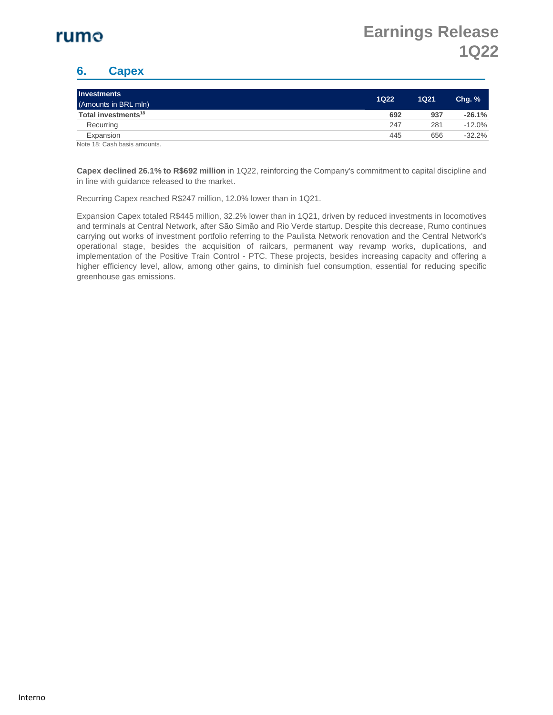#### **6. Capex**

| Investments<br>(Amounts in BRL mln) | <b>1Q22</b> | <b>1Q21</b> | Chq. %    |
|-------------------------------------|-------------|-------------|-----------|
| Total investments <sup>18</sup>     | 692         | 937         | $-26.1%$  |
| Recurring                           | 247         | 281         | $-12.0\%$ |
| Expansion                           | 445         | 656         | $-32.2%$  |
| Note 18: Cash basis amounts.        |             |             |           |

**Capex declined 26.1% to R\$692 million** in 1Q22, reinforcing the Company's commitment to capital discipline and in line with guidance released to the market.

Recurring Capex reached R\$247 million, 12.0% lower than in 1Q21.

Expansion Capex totaled R\$445 million, 32.2% lower than in 1Q21, driven by reduced investments in locomotives and terminals at Central Network, after São Simão and Rio Verde startup. Despite this decrease, Rumo continues carrying out works of investment portfolio referring to the Paulista Network renovation and the Central Network's operational stage, besides the acquisition of railcars, permanent way revamp works, duplications, and implementation of the Positive Train Control - PTC. These projects, besides increasing capacity and offering a higher efficiency level, allow, among other gains, to diminish fuel consumption, essential for reducing specific greenhouse gas emissions.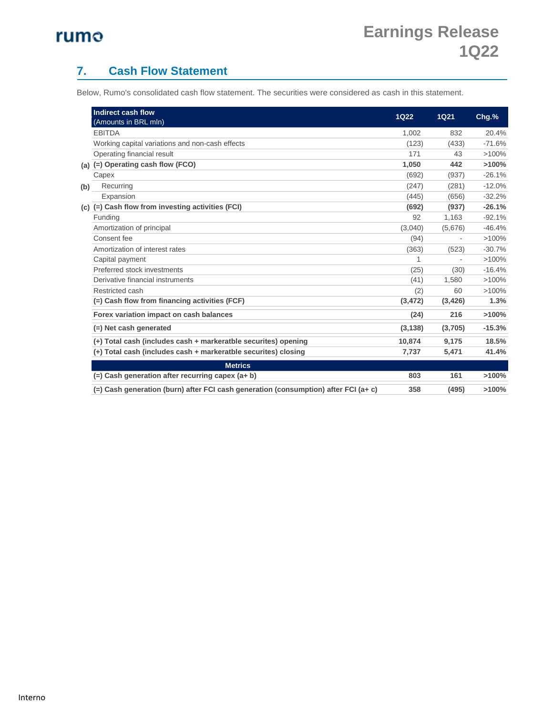

### **7. Cash Flow Statement**

Below, Rumo's consolidated cash flow statement. The securities were considered as cash in this statement.

|     | Indirect cash flow<br>(Amounts in BRL mln)                                          | 1Q22     | <b>1Q21</b>                    | Chg.%    |
|-----|-------------------------------------------------------------------------------------|----------|--------------------------------|----------|
|     | <b>EBITDA</b>                                                                       | 1.002    | 832                            | 20.4%    |
|     | Working capital variations and non-cash effects                                     | (123)    | (433)                          | $-71.6%$ |
|     | Operating financial result                                                          | 171      | 43                             | $>100\%$ |
|     | (a) (=) Operating cash flow (FCO)                                                   | 1.050    | 442                            | >100%    |
|     | Capex                                                                               | (692)    | (937)                          | $-26.1%$ |
| (b) | Recurring                                                                           | (247)    | (281)                          | $-12.0%$ |
|     | Expansion                                                                           | (445)    | (656)                          | $-32.2%$ |
|     | (c) (=) Cash flow from investing activities (FCI)                                   | (692)    | (937)                          | $-26.1%$ |
|     | Funding                                                                             | 92       | 1,163                          | $-92.1%$ |
|     | Amortization of principal                                                           | (3,040)  | (5,676)                        | $-46.4%$ |
|     | Consent fee                                                                         | (94)     | ä,                             | $>100\%$ |
|     | Amortization of interest rates                                                      | (363)    | (523)                          | $-30.7%$ |
|     | Capital payment                                                                     |          |                                | >100%    |
|     | Preferred stock investments                                                         | (25)     | (30)                           | $-16.4%$ |
|     | Derivative financial instruments                                                    | (41)     | 1,580                          | $>100\%$ |
|     | Restricted cash                                                                     | (2)      | 60                             | $>100\%$ |
|     | (=) Cash flow from financing activities (FCF)                                       | (3, 472) | (3, 426)                       | 1.3%     |
|     | Forex variation impact on cash balances                                             | (24)     | 216                            | >100%    |
|     | (=) Net cash generated                                                              | (3, 138) | (3,705)                        | $-15.3%$ |
|     | (+) Total cash (includes cash + markeratble securites) opening                      | 10,874   | 9,175<br>5,471<br>161<br>(495) | 18.5%    |
|     | (+) Total cash (includes cash + markeratble securites) closing                      | 7,737    |                                | 41.4%    |
|     | <b>Metrics</b>                                                                      |          |                                |          |
|     | $(=)$ Cash generation after recurring capex $(a + b)$                               | 803      |                                | >100%    |
|     | (=) Cash generation (burn) after FCI cash generation (consumption) after FCI (a+ c) | 358      |                                | >100%    |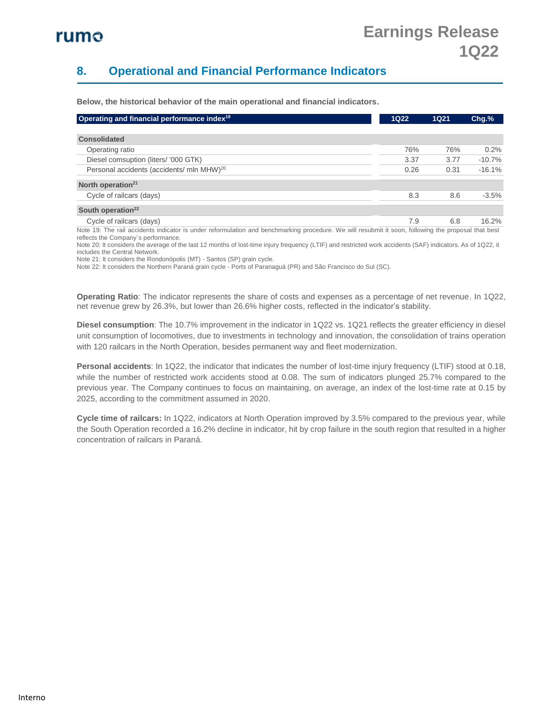#### **8. Operational and Financial Performance Indicators**

**Below, the historical behavior of the main operational and financial indicators.**

| Operating and financial performance index <sup>19</sup> | <b>1Q22</b> | <b>1Q21</b> | $Chg.$ % |
|---------------------------------------------------------|-------------|-------------|----------|
| <b>Consolidated</b>                                     |             |             |          |
| Operating ratio                                         | 76%         | 76%         | 0.2%     |
| Diesel comsuption (liters/ '000 GTK)                    | 3.37        | 3.77        | $-10.7%$ |
| Personal accidents (accidents/ mln MHW) <sup>20</sup>   | 0.26        | 0.31        | $-16.1%$ |
| North operation <sup>21</sup>                           |             |             |          |
| Cycle of railcars (days)                                | 8.3         | 8.6         | $-3.5\%$ |
| South operation <sup>22</sup>                           |             |             |          |
| Cycle of railcars (days)                                | 7.9         | 6.8         | 16.2%    |

Note 19: The rail accidents indicator is under reformulation and benchmarking procedure. We will resubmit it soon, following the proposal that best reflects the Company´s performance.

Note 20: It considers the average of the last 12 months of lost-time injury frequency (LTIF) and restricted work accidents (SAF) indicators. As of 1Q22, it includes the Central Network.

Note 21: It considers the Rondonópolis (MT) - Santos (SP) grain cycle.

Note 22: It considers the Northern Paraná grain cycle - Ports of Paranaguá (PR) and São Francisco do Sul (SC).

**Operating Ratio**: The indicator represents the share of costs and expenses as a percentage of net revenue. In 1Q22, net revenue grew by 26.3%, but lower than 26.6% higher costs, reflected in the indicator's stability.

**Diesel consumption**: The 10.7% improvement in the indicator in 1Q22 vs. 1Q21 reflects the greater efficiency in diesel unit consumption of locomotives, due to investments in technology and innovation, the consolidation of trains operation with 120 railcars in the North Operation, besides permanent way and fleet modernization.

**Personal accidents**: In 1Q22, the indicator that indicates the number of lost-time injury frequency (LTIF) stood at 0.18, while the number of restricted work accidents stood at 0.08. The sum of indicators plunged 25.7% compared to the previous year. The Company continues to focus on maintaining, on average, an index of the lost-time rate at 0.15 by 2025, according to the commitment assumed in 2020.

**Cycle time of railcars:** In 1Q22, indicators at North Operation improved by 3.5% compared to the previous year, while the South Operation recorded a 16.2% decline in indicator, hit by crop failure in the south region that resulted in a higher concentration of railcars in Paraná.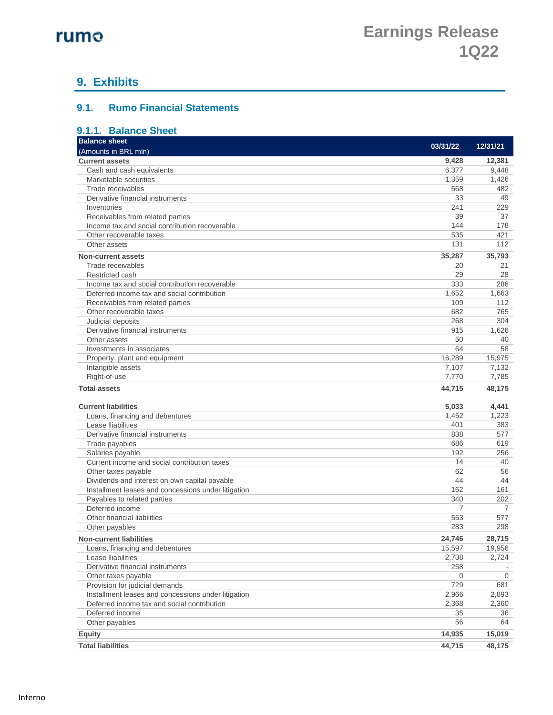### **9. Exhibits**

#### **9.1. Rumo Financial Statements**

#### **9.1.1. Balance Sheet**

| <b>Balance sheet</b>                                | 03/31/22 | 12/31/21 |
|-----------------------------------------------------|----------|----------|
| (Amounts in BRL mln)                                |          |          |
| <b>Current assets</b>                               | 9,428    | 12,381   |
| Cash and cash equivalents                           | 6,377    | 9,448    |
| Marketable securities                               | 1,359    | 1,426    |
| Trade receivables                                   | 568      | 482      |
| Derivative financial instruments                    | 33       | 49       |
| Inventories                                         | 241      | 229      |
| Receivables from related parties                    | 39       | 37       |
| Income tax and social contribution recoverable      | 144      | 178      |
| Other recoverable taxes                             | 535      | 421      |
| Other assets                                        | 131      | 112      |
| <b>Non-current assets</b>                           | 35,287   | 35,793   |
| Trade receivables                                   | 20       | 21       |
| Restricted cash                                     | 29       | 28       |
| Income tax and social contribution recoverable      | 333      | 286      |
| Deferred income tax and social contribution         | 1,652    | 1,663    |
| Receivables from related parties                    | 109      | 112      |
| Other recoverable taxes                             | 682      | 765      |
| Judicial deposits                                   | 268      | 304      |
| Derivative financial instruments                    | 915      | 1,626    |
| Other assets                                        | 50       | 40       |
| Investments in associates                           | 64       | 58       |
| Property, plant and equipment                       | 16,289   | 15,975   |
| Intangible assets                                   | 7,107    | 7,132    |
| Right-of-use                                        | 7,770    | 7,785    |
| <b>Total assets</b>                                 | 44,715   | 48,175   |
| <b>Current liabilities</b>                          | 5,033    | 4,441    |
| Loans, financing and debentures                     | 1,452    | 1,223    |
| Lease Iliabilities                                  | 401      | 383      |
| Derivative financial instruments                    | 838      | 577      |
| Trade payables                                      | 686      | 619      |
| Salaries payable                                    | 192      | 256      |
| Current income and social contribution taxes        | 14       | 40       |
| Other taxes payable                                 | 62       | 56       |
| Dividends and interest on own capital payable       | 44       | 44       |
| Installment leases and concessions under litigation | 162      | 161      |
| Payables to related parties                         | 340      | 202      |
| Deferred income                                     | 7        | 7        |
| Other financial liabilities                         | 553      | 577      |
| Other payables                                      | 283      | 298      |
| <b>Non-current liabilities</b>                      | 24,746   | 28.715   |
| Loans, financing and debentures                     | 15,597   | 19,956   |
| Lease Iliabilities                                  | 2,738    | 2,724    |
| Derivative financial instruments                    | 258      |          |
| Other taxes payable                                 | $\Omega$ | $\Omega$ |
| Provision for judicial demands                      | 729      | 681      |
| Installment leases and concessions under litigation | 2,966    | 2,893    |
| Deferred income tax and social contribution         | 2,368    | 2,360    |
| Deferred income                                     | 35       | 36       |
| Other payables                                      | 56       | 64       |
|                                                     |          |          |
| <b>Equity</b>                                       | 14,935   | 15,019   |
| <b>Total liabilities</b>                            | 44,715   | 48,175   |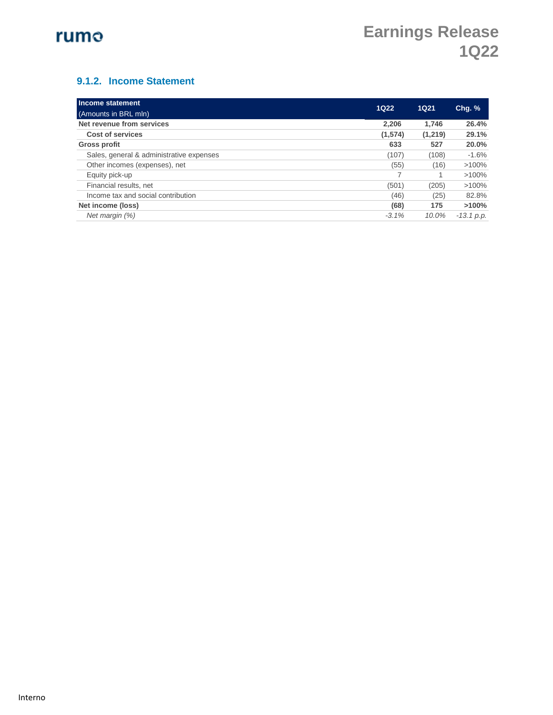#### **9.1.2. Income Statement**

| Income statement                         |             |             |              |
|------------------------------------------|-------------|-------------|--------------|
| (Amounts in BRL mln)                     | <b>1Q22</b> | <b>1Q21</b> | Chg. %       |
| Net revenue from services                | 2.206       | 1.746       | 26.4%        |
| Cost of services                         | (1,574)     | (1,219)     | 29.1%        |
| Gross profit                             | 633         | 527         | 20.0%        |
| Sales, general & administrative expenses | (107)       | (108)       | $-1.6%$      |
| Other incomes (expenses), net            | (55)        | (16)        | $>100\%$     |
| Equity pick-up                           |             |             | $>100\%$     |
| Financial results, net                   | (501)       | (205)       | $>100\%$     |
| Income tax and social contribution       | (46)        | (25)        | 82.8%        |
| Net income (loss)                        | (68)        | 175         | $>100\%$     |
| Net margin $(\%)$                        | $-3.1%$     | 10.0%       | $-13.1 p.p.$ |